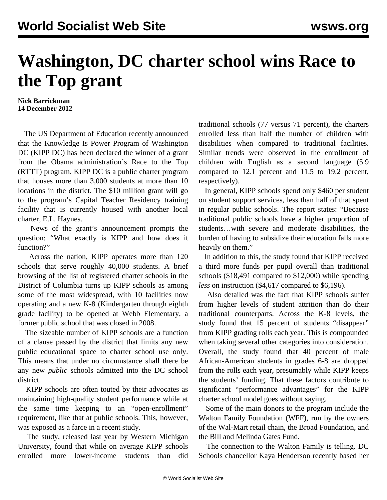## **Washington, DC charter school wins Race to the Top grant**

**Nick Barrickman 14 December 2012**

 The US Department of Education recently announced that the Knowledge Is Power Program of Washington DC (KIPP DC) has been declared the winner of a grant from the Obama administration's Race to the Top (RTTT) program. KIPP DC is a public charter program that houses more than 3,000 students at more than 10 locations in the district. The \$10 million grant will go to the program's Capital Teacher Residency training facility that is currently housed with another local charter, E.L. Haynes.

 News of the grant's announcement prompts the question: "What exactly is KIPP and how does it function?"

 Across the nation, KIPP operates more than 120 schools that serve roughly 40,000 students. A brief browsing of the list of registered charter schools in the District of Columbia turns up KIPP schools as among some of the most widespread, with 10 facilities now operating and a new K-8 (Kindergarten through eighth grade facility) to be opened at Webb Elementary, a former public school that was closed in 2008.

 The sizeable number of KIPP schools are a function of a clause passed by the district that limits any new public educational space to charter school use only. This means that under no circumstance shall there be any new *public* schools admitted into the DC school district.

 KIPP schools are often touted by their advocates as maintaining high-quality student performance while at the same time keeping to an "open-enrollment" requirement, like that at public schools. This, however, was exposed as a farce in a recent study.

 [The study,](http://www.edweek.org/media/kippstudy.pdf) released last year by Western Michigan University, found that while on average KIPP schools enrolled more lower-income students than did traditional schools (77 versus 71 percent), the charters enrolled less than half the number of children with disabilities when compared to traditional facilities. Similar trends were observed in the enrollment of children with English as a second language (5.9 compared to 12.1 percent and 11.5 to 19.2 percent, respectively).

 In general, KIPP schools spend only \$460 per student on student support services, less than half of that spent in regular public schools. The report states: "Because traditional public schools have a higher proportion of students…with severe and moderate disabilities, the burden of having to subsidize their education falls more heavily on them."

 In addition to this, the study found that KIPP received a third more funds per pupil overall than traditional schools (\$18,491 compared to \$12,000) while spending *less* on instruction (\$4,617 compared to \$6,196).

 Also detailed was the fact that KIPP schools suffer from higher levels of student attrition than do their traditional counterparts. Across the K-8 levels, the study found that 15 percent of students "disappear" from KIPP grading rolls each year. This is compounded when taking several other categories into consideration. Overall, the study found that 40 percent of male African-American students in grades 6-8 are dropped from the rolls each year, presumably while KIPP keeps the students' funding. That these factors contribute to significant "performance advantages" for the KIPP charter school model goes without saying.

 Some of the main donors to the program include the Walton Family Foundation (WFF), run by the owners of the Wal-Mart retail chain, the Broad Foundation, and the Bill and Melinda Gates Fund.

 The connection to the Walton Family is telling. DC Schools chancellor Kaya Henderson recently based her